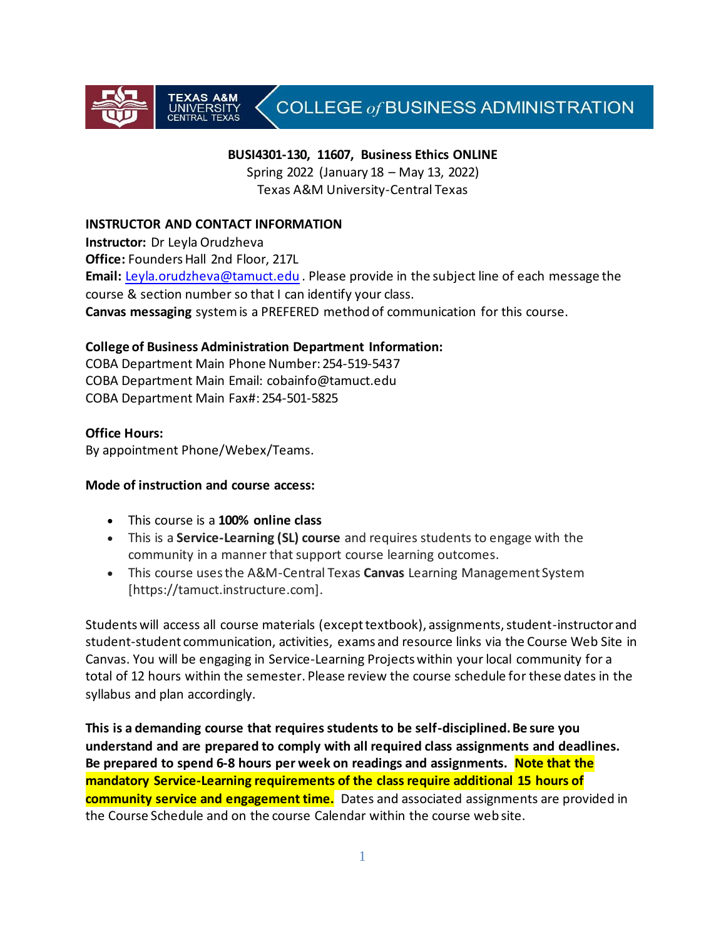# COLLEGE of BUSINESS ADMINISTRATION

#### **BUSI4301-130, 11607, Business Ethics ONLINE**

Spring 2022 (January 18 – May 13, 2022) Texas A&M University-Central Texas

#### **INSTRUCTOR AND CONTACT INFORMATION**

**INIVERSIT** 

**Instructor:** Dr Leyla Orudzheva **Office:** Founders Hall 2nd Floor, 217L **Email:** [Leyla.orudzheva@tamuct.edu](mailto:Leyla.orudzheva@tamuct.edu) . Please provide in the subject line of each message the course & section number so that I can identify your class. **Canvas messaging** system is a PREFERED method of communication for this course.

#### **College of Business Administration Department Information:**

COBA Department Main Phone Number: 254-519-5437 COBA Department Main Email: [cobainfo@tamuct.edu](https://exchange.tamu.edu/owa/redir.aspx?C=9AT6pQW5MU-k040V3QS5CyHxrKgMkdEI0uu538aFcfI4z4qHNg8n1CcWCulDL5ivwSI5eXy2XJM.&URL=mailto%3acobainfo%40tamuct.edu) COBA Department Main Fax#: 254-501-5825

#### **Office Hours:**

By appointment Phone/Webex/Teams.

#### **Mode of instruction and course access:**

- This course is a **100% online class**
- This is a **Service-Learning (SL) course** and requires students to engage with the community in a manner that support course learning outcomes.
- This course uses the A&M-Central Texas **Canvas** Learning Management System [https://tamuct.instructure.com].

Students will access all course materials (except textbook), assignments, student-instructor and student-student communication, activities, exams and resource links via the Course Web Site in Canvas. You will be engaging in Service-Learning Projects within your local community for a total of 12 hours within the semester. Please review the course schedule for these dates in the syllabus and plan accordingly.

**This is a demanding course that requires students to be self-disciplined. Be sure you understand and are prepared to comply with all required class assignments and deadlines. Be prepared to spend 6-8 hours per week on readings and assignments. Note that the mandatory Service-Learning requirements of the class require additional 15 hours of community service and engagement time.** Dates and associated assignments are provided in the Course Schedule and on the course Calendar within the course web site.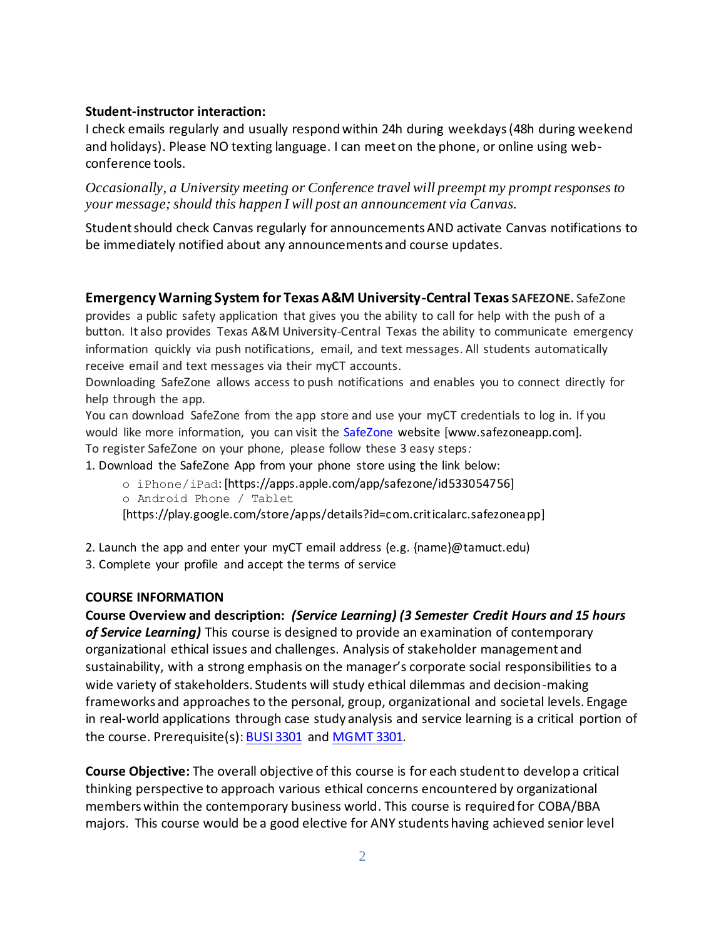#### **Student-instructor interaction:**

I check emails regularly and usually respond within 24h during weekdays(48h during weekend and holidays). Please NO texting language. I can meet on the phone, or online using webconference tools.

*Occasionally, a University meeting or Conference travel will preempt my prompt responses to your message; should this happen I will post an announcement via Canvas.*

Student should check Canvas regularly for announcements AND activate Canvas notifications to be immediately notified about any announcements and course updates.

#### **Emergency Warning System for Texas A&M University-Central Texas SAFEZONE.** SafeZone

provides a public safety application that gives you the ability to call for help with the push of a button. It also provides Texas A&M University-Central Texas the ability to communicate emergency information quickly via push notifications, email, and text messages. All students automatically receive email and text messages via their myCT accounts.

Downloading SafeZone allows access to push notifications and enables you to connect directly for help through the app.

You can download SafeZone from the app store and use your myCT credentials to log in. If you would like more information, you can visit the SafeZone website [www.safezoneapp.com]. To register SafeZone on your phone, please follow these 3 easy steps*:* 

1. Download the SafeZone App from your phone store using the link below:

- o iPhone/iPad: [https://apps.apple.com/app/safezone/id533054756]
- o Android Phone / Tablet

[https://play.google.com/store/apps/details?id=com.criticalarc.safezoneapp]

- 2. Launch the app and enter your myCT email address (e.g. {name}@tamuct.edu)
- 3. Complete your profile and accept the terms of service

#### **COURSE INFORMATION**

**Course Overview and description:** *(Service Learning) (3 Semester Credit Hours and 15 hours of Service Learning)* This course is designed to provide an examination of contemporary organizational ethical issues and challenges. Analysis of stakeholder management and sustainability, with a strong emphasis on the manager's corporate social responsibilities to a wide variety of stakeholders. Students will study ethical dilemmas and decision-making frameworks and approaches to the personal, group, organizational and societal levels. Engage in real-world applications through case study analysis and service learning is a critical portion of the course. Prerequisite(s): [BUSI](http://catalog.tamuct.edu/search/?P=BUSI%203301) 3301 and [MGMT](http://catalog.tamuct.edu/search/?P=MGMT%203301) 3301.

**Course Objective:** The overall objective of this course is for each student to develop a critical thinking perspective to approach various ethical concerns encountered by organizational members within the contemporary business world. This course is required for COBA/BBA majors. This course would be a good elective for ANY students having achieved senior level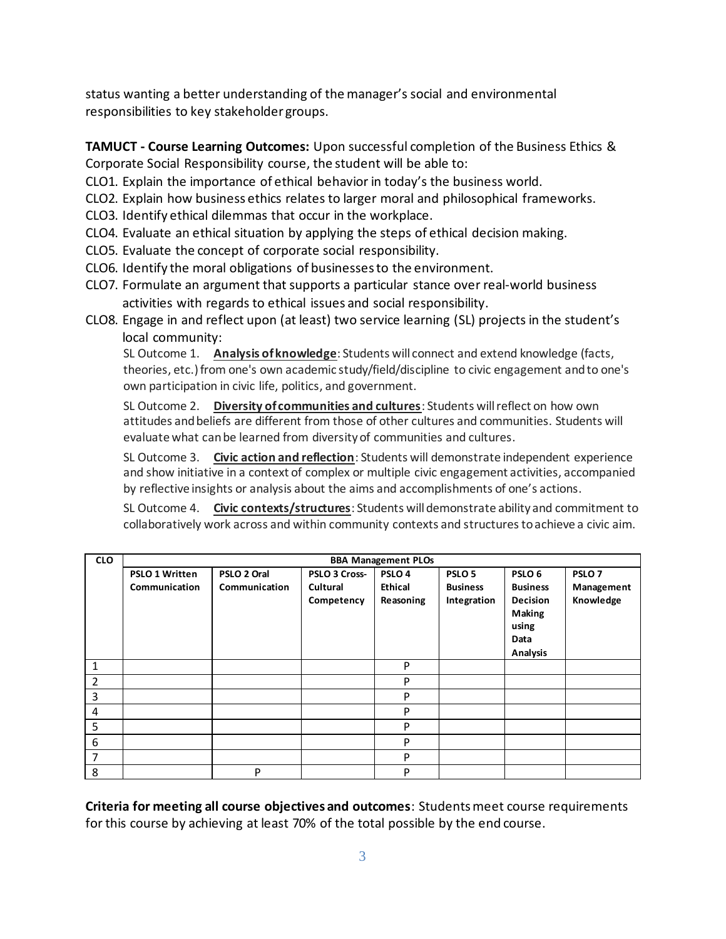status wanting a better understanding of the manager's social and environmental responsibilities to key stakeholder groups.

**TAMUCT - Course Learning Outcomes:** Upon successful completion of the Business Ethics & Corporate Social Responsibility course, the student will be able to:

CLO1. Explain the importance of ethical behavior in today's the business world.

- CLO2. Explain how business ethics relates to larger moral and philosophical frameworks.
- CLO3. Identify ethical dilemmas that occur in the workplace.
- CLO4. Evaluate an ethical situation by applying the steps of ethical decision making.
- CLO5. Evaluate the concept of corporate social responsibility.
- CLO6. Identify the moral obligations of businesses to the environment.
- CLO7. Formulate an argument that supports a particular stance over real-world business activities with regards to ethical issues and social responsibility.
- CLO8. Engage in and reflect upon (at least) two service learning (SL) projects in the student's local community:

SL Outcome 1. **Analysis of knowledge**: Students will connect and extend knowledge (facts, theories, etc.) from one's own academic study/field/discipline to civic engagement and to one's own participation in civic life, politics, and government.

SL Outcome 2. **Diversity of communities and cultures**: Students will reflect on how own attitudes and beliefs are different from those of other cultures and communities. Students will evaluate what can be learned from diversity of communities and cultures.

SL Outcome 3. **Civic action and reflection**: Students will demonstrate independent experience and show initiative in a context of complex or multiple civic engagement activities, accompanied by reflective insights or analysis about the aims and accomplishments of one's actions.

SL Outcome 4. **Civic contexts/structures**: Students will demonstrate ability and commitment to collaboratively work across and within community contexts and structures to achieve a civic aim.

| <b>CLO</b>       | <b>BBA Management PLOs</b> |               |               |                   |                   |                   |                   |
|------------------|----------------------------|---------------|---------------|-------------------|-------------------|-------------------|-------------------|
|                  | <b>PSLO 1 Written</b>      | PSLO 2 Oral   | PSLO 3 Cross- | PSLO <sub>4</sub> | PSLO <sub>5</sub> | PSLO <sub>6</sub> | PSLO <sub>7</sub> |
|                  | Communication              | Communication | Cultural      | <b>Ethical</b>    | <b>Business</b>   | <b>Business</b>   | Management        |
|                  |                            |               | Competency    | Reasoning         | Integration       | <b>Decision</b>   | Knowledge         |
|                  |                            |               |               |                   |                   | Making            |                   |
|                  |                            |               |               |                   |                   | using             |                   |
|                  |                            |               |               |                   |                   | Data              |                   |
|                  |                            |               |               |                   |                   | <b>Analysis</b>   |                   |
| 1                |                            |               |               | P                 |                   |                   |                   |
| $\overline{2}$   |                            |               |               | P                 |                   |                   |                   |
| 3                |                            |               |               | P                 |                   |                   |                   |
| 4                |                            |               |               | P                 |                   |                   |                   |
| 5                |                            |               |               | P                 |                   |                   |                   |
| $\boldsymbol{6}$ |                            |               |               | P                 |                   |                   |                   |
| 7                |                            |               |               | P                 |                   |                   |                   |
| 8                |                            | P             |               | P                 |                   |                   |                   |

**Criteria for meeting all course objectives and outcomes**: Students meet course requirements for this course by achieving at least 70% of the total possible by the end course.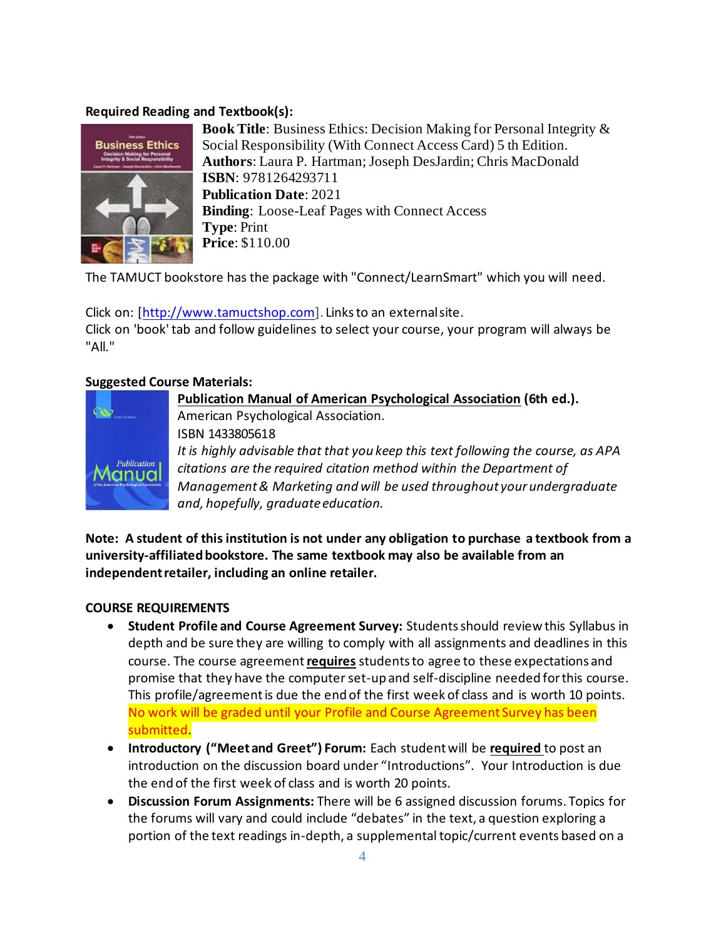## **Required Reading and Textbook(s):**



**Book Title**: Business Ethics: Decision Making for Personal Integrity & Social Responsibility (With Connect Access Card) 5 th Edition. **Authors**: Laura P. Hartman; Joseph DesJardin; Chris MacDonald **ISBN**: 9781264293711 **Publication Date**: 2021 **Binding**: Loose-Leaf Pages with Connect Access **Type**: Print **Price**: \$110.00

The TAMUCT bookstore has the package with "Connect/LearnSmart" which you will need.

Click on: [\[http://www.tamuctshop.com\]](http://www.tamuctshop.com/). Links to an external site. Click on 'book' tab and follow guidelines to select your course, your program will always be "All."

## **Suggested Course Materials:**



**Publication Manual of American Psychological Association (6th ed.).**  American Psychological Association. ISBN 1433805618 *It is highly advisable that that you keep this text following the course, as APA citations are the required citation method within the Department of Management & Marketing and will be used throughout your undergraduate and, hopefully, graduate education.*

**Note: A student of this institution is not under any obligation to purchase a textbook from a university-affiliated bookstore. The same textbook may also be available from an independent retailer, including an online retailer.**

### **COURSE REQUIREMENTS**

- **Student Profile and Course Agreement Survey:** Students should review this Syllabus in depth and be sure they are willing to comply with all assignments and deadlines in this course. The course agreement **requires** students to agree to these expectations and promise that they have the computer set-up and self-discipline needed for this course. This profile/agreement is due the end of the first week of class and is worth 10 points. No work will be graded until your Profile and Course Agreement Survey has been submitted.
- **Introductory ("Meet and Greet") Forum:** Each student will be **required** to post an introduction on the discussion board under "Introductions". Your Introduction is due the end of the first week of class and is worth 20 points.
- **Discussion Forum Assignments:** There will be 6 assigned discussion forums. Topics for the forums will vary and could include "debates" in the text, a question exploring a portion of the text readings in-depth, a supplemental topic/current events based on a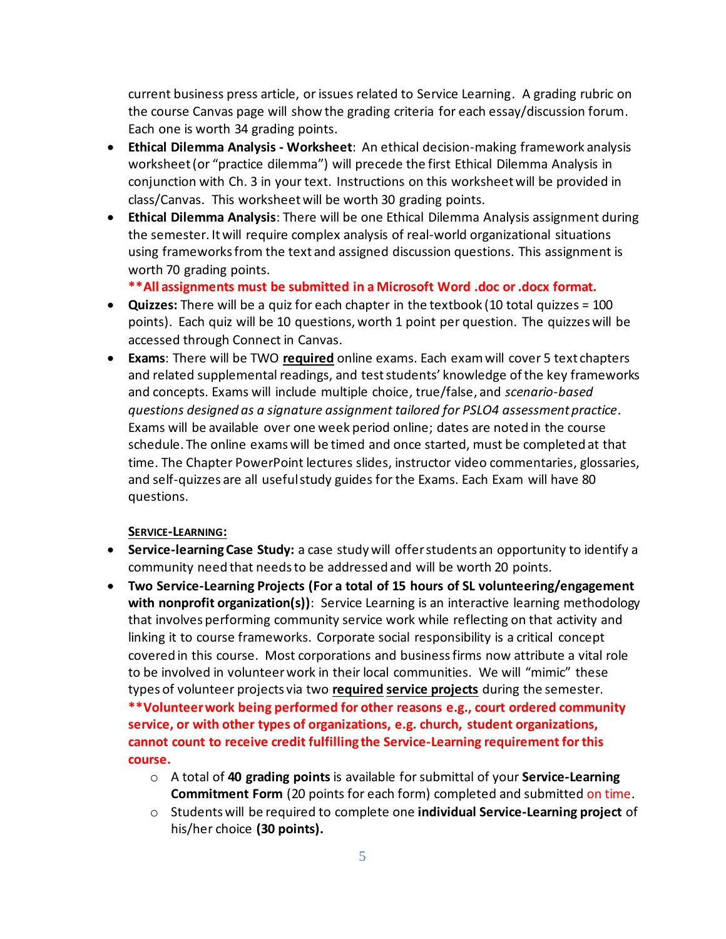current business press article, or issues related to Service Learning. A grading rubric on the course Canvas page will show the grading criteria for each essay/discussion forum. Each one is worth 34 grading points.

- **Ethical Dilemma Analysis - Worksheet**: An ethical decision-making framework analysis worksheet (or "practice dilemma") will precede the first Ethical Dilemma Analysis in conjunction with Ch. 3 in your text. Instructions on this worksheet will be provided in class/Canvas. This worksheet will be worth 30 grading points.
- **Ethical Dilemma Analysis**: There will be one Ethical Dilemma Analysis assignment during the semester. Itwill require complex analysis of real-world organizational situations using frameworks from the text and assigned discussion questions. This assignment is worth 70 grading points.

**\*\*All assignments must be submitted in a Microsoft Word .doc or .docx format.**

- **Quizzes:** There will be a quiz for each chapter in the textbook (10 total quizzes = 100 points). Each quiz will be 10 questions, worth 1 point per question. The quizzes will be accessed through Connect in Canvas.
- **Exams**: There will be TWO **required** online exams. Each exam will cover 5 text chapters and related supplemental readings, and test students' knowledge of the key frameworks and concepts. Exams will include multiple choice, true/false, and *scenario-based questions designed as a signature assignment tailored for PSLO4 assessment practice.* Exams will be available over one week period online; dates are noted in the course schedule. The online exams will be timed and once started, must be completed at that time. The Chapter PowerPoint lectures slides, instructor video commentaries, glossaries, and self-quizzes are all useful study guides for the Exams. Each Exam will have 80 questions.

### **SERVICE-LEARNING:**

- **Service-learningCase Study:** a case study will offer students an opportunity to identify a community need that needs to be addressed and will be worth 20 points.
- **Two Service-Learning Projects (For a total of 15 hours of SL volunteering/engagement with nonprofit organization(s))**: Service Learning is an interactive learning methodology that involves performing community service work while reflecting on that activity and linking it to course frameworks. Corporate social responsibility is a critical concept covered in this course. Most corporations and business firms now attribute a vital role to be involved in volunteer work in their local communities. We will "mimic" these types of volunteer projects via two **required service projects** during the semester. **\*\*Volunteer work being performed for other reasons e.g., court ordered community service, or with other types of organizations, e.g. church, student organizations, cannot count to receive credit fulfilling the Service-Learning requirement for this course.**
	- o A total of **40 grading points** is available for submittal of your **Service-Learning Commitment Form** (20 points for each form) completed and submitted on time.
	- o Students will be required to complete one **individual Service-Learning project** of his/her choice **(30 points).**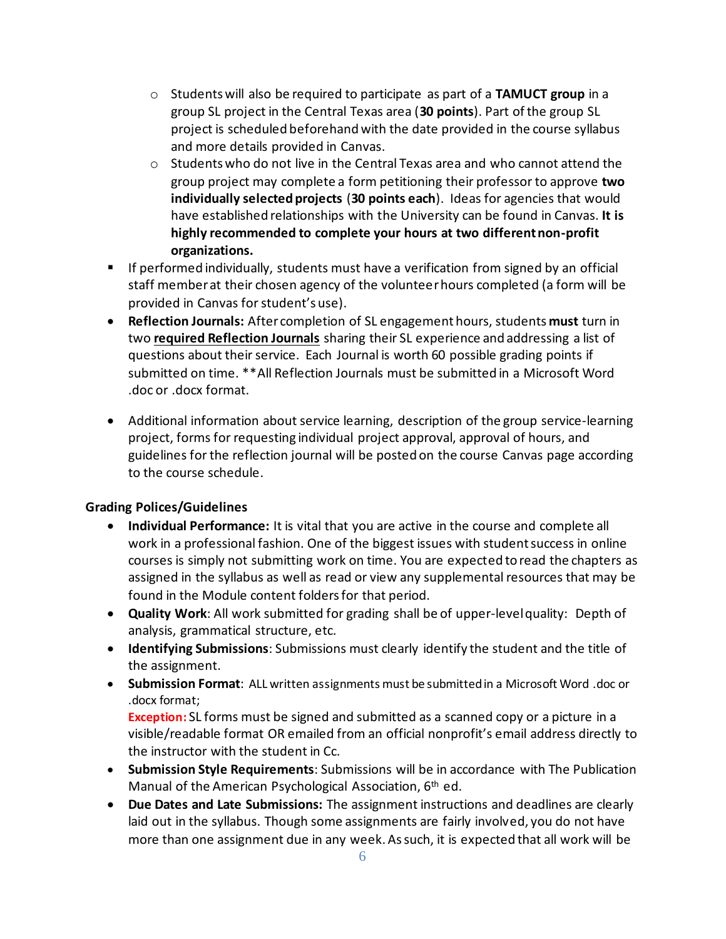- o Students will also be required to participate as part of a **TAMUCT group** in a group SL project in the Central Texas area (**30 points**). Part of the group SL project is scheduled beforehand with the date provided in the course syllabus and more details provided in Canvas.
- $\circ$  Students who do not live in the Central Texas area and who cannot attend the group project may complete a form petitioning their professor to approve **two individually selected projects** (**30 points each**). Ideas for agencies that would have established relationships with the University can be found in Canvas. **It is highly recommended to complete your hours at two different non-profit organizations.**
- **E** If performed individually, students must have a verification from signed by an official staff member at their chosen agency of the volunteer hours completed (a form will be provided in Canvas for student's use).
- **Reflection Journals:** After completion of SL engagement hours, students **must** turn in two **required Reflection Journals** sharing their SL experience and addressing a list of questions about their service. Each Journal is worth 60 possible grading points if submitted on time. \*\*All Reflection Journals must be submitted in a Microsoft Word .doc or .docx format.
- Additional information about service learning, description of the group service-learning project, forms for requesting individual project approval, approval of hours, and guidelines for the reflection journal will be posted on the course Canvas page according to the course schedule.

## **Grading Polices/Guidelines**

- **Individual Performance:** It is vital that you are active in the course and complete all work in a professional fashion. One of the biggest issues with student success in online courses is simply not submitting work on time. You are expected to read the chapters as assigned in the syllabus as well as read or view any supplemental resources that may be found in the Module content folders for that period.
- **Quality Work**: All work submitted for grading shall be of upper-levelquality: Depth of analysis, grammatical structure, etc.
- **Identifying Submissions**: Submissions must clearly identify the student and the title of the assignment.
- **Submission Format**: ALL written assignments must be submitted in a Microsoft Word .doc or .docx format;

**Exception:** SL forms must be signed and submitted as a scanned copy or a picture in a visible/readable format OR emailed from an official nonprofit's email address directly to the instructor with the student in Cc.

- **Submission Style Requirements**: Submissions will be in accordance with The Publication Manual of the American Psychological Association,  $6<sup>th</sup>$  ed.
- **Due Dates and Late Submissions:** The assignment instructions and deadlines are clearly laid out in the syllabus. Though some assignments are fairly involved, you do not have more than one assignment due in any week. As such, it is expected that all work will be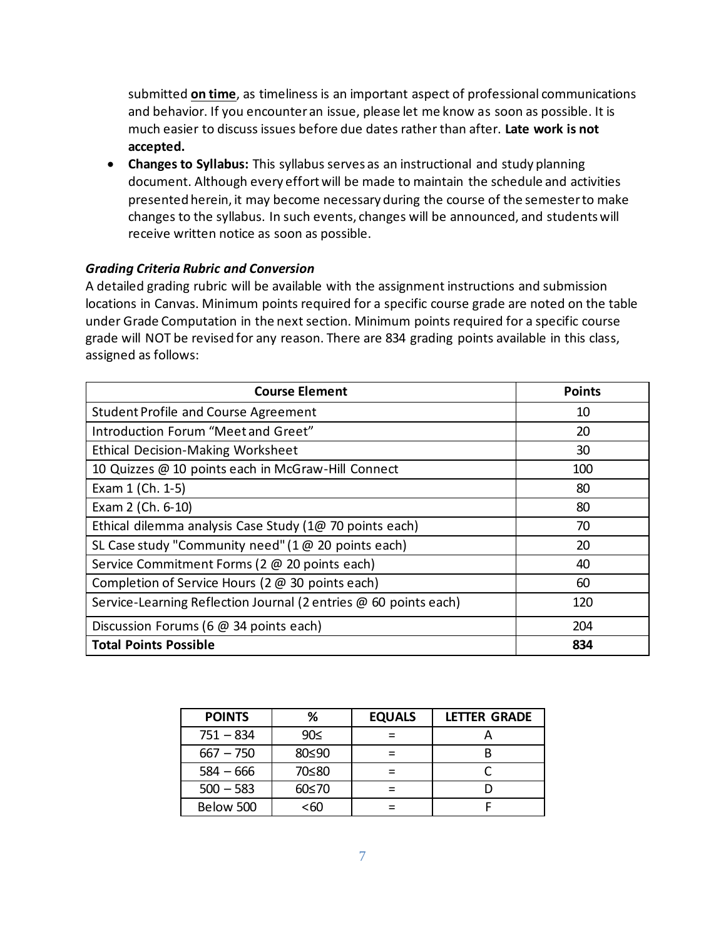submitted **on time**, as timeliness is an important aspect of professional communications and behavior. If you encounter an issue, please let me know as soon as possible. It is much easier to discuss issues before due dates rather than after. **Late work is not accepted.**

• **Changes to Syllabus:** This syllabus serves as an instructional and study planning document. Although every effort will be made to maintain the schedule and activities presented herein, it may become necessary during the course of the semester to make changes to the syllabus. In such events, changes will be announced, and students will receive written notice as soon as possible.

#### *Grading Criteria Rubric and Conversion*

A detailed grading rubric will be available with the assignment instructions and submission locations in Canvas. Minimum points required for a specific course grade are noted on the table under Grade Computation in the next section. Minimum points required for a specific course grade will NOT be revised for any reason. There are 834 grading points available in this class, assigned as follows:

| <b>Course Element</b>                                            | <b>Points</b> |
|------------------------------------------------------------------|---------------|
| <b>Student Profile and Course Agreement</b>                      | 10            |
| Introduction Forum "Meet and Greet"                              | 20            |
| <b>Ethical Decision-Making Worksheet</b>                         | 30            |
| 10 Quizzes @ 10 points each in McGraw-Hill Connect               | 100           |
| Exam 1 (Ch. 1-5)                                                 | 80            |
| Exam 2 (Ch. 6-10)                                                | 80            |
| Ethical dilemma analysis Case Study (1@ 70 points each)          | 70            |
| SL Case study "Community need" (1 $\omega$ 20 points each)       | 20            |
| Service Commitment Forms (2 @ 20 points each)                    | 40            |
| Completion of Service Hours (2 @ 30 points each)                 | 60            |
| Service-Learning Reflection Journal (2 entries @ 60 points each) | 120           |
| Discussion Forums (6 @ 34 points each)                           | 204           |
| <b>Total Points Possible</b>                                     | 834           |

| <b>POINTS</b> | %     | <b>EQUALS</b> | <b>LETTER GRADE</b> |
|---------------|-------|---------------|---------------------|
| $751 - 834$   | 90≤   |               |                     |
| $667 - 750$   | 80≤90 |               |                     |
| $584 - 666$   | 70≤80 |               |                     |
| $500 - 583$   | 60≤70 |               |                     |
| Below 500     | <60   |               |                     |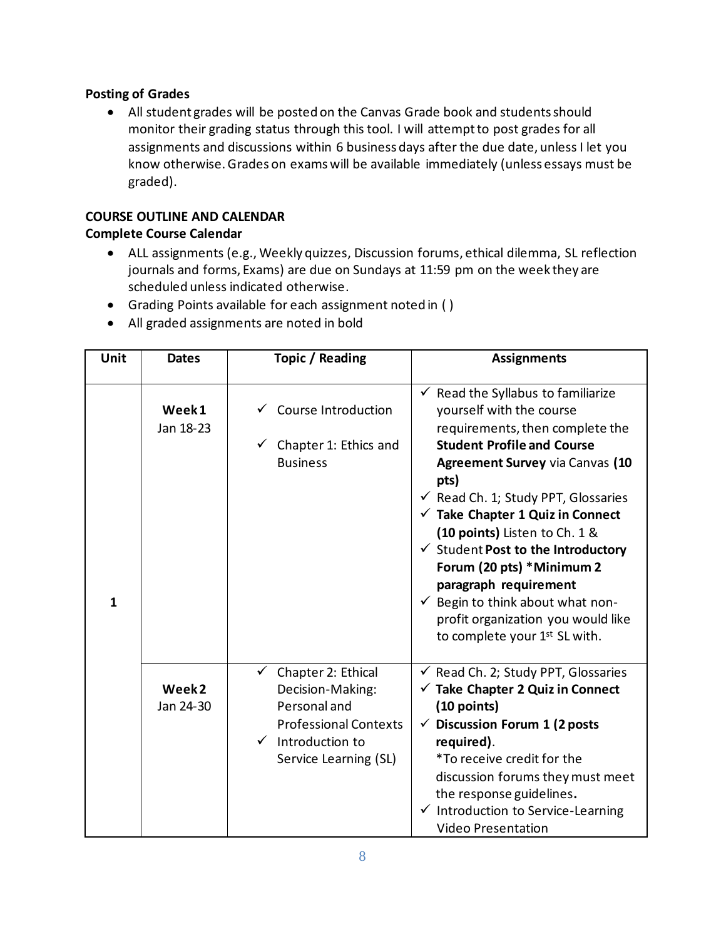## **Posting of Grades**

• All student grades will be posted on the Canvas Grade book and students should monitor their grading status through this tool. I will attempt to post grades for all assignments and discussions within 6 business days after the due date, unless I let you know otherwise. Grades on exams will be available immediately (unless essays must be graded).

# **COURSE OUTLINE AND CALENDAR**

## **Complete Course Calendar**

- ALL assignments (e.g., Weekly quizzes, Discussion forums, ethical dilemma, SL reflection journals and forms, Exams) are due on Sundays at 11:59 pm on the week they are scheduled unless indicated otherwise.
- Grading Points available for each assignment noted in ( )
- All graded assignments are noted in bold

| Unit         | <b>Dates</b>                   | Topic / Reading                                                                                                                                              | <b>Assignments</b>                                                                                                                                                                                                                                                                                                                                                                                                                                                                                                                                                             |  |
|--------------|--------------------------------|--------------------------------------------------------------------------------------------------------------------------------------------------------------|--------------------------------------------------------------------------------------------------------------------------------------------------------------------------------------------------------------------------------------------------------------------------------------------------------------------------------------------------------------------------------------------------------------------------------------------------------------------------------------------------------------------------------------------------------------------------------|--|
| $\mathbf{1}$ | Week1<br>Jan 18-23             | $\checkmark$ Course Introduction<br>$\checkmark$ Chapter 1: Ethics and<br><b>Business</b>                                                                    | $\checkmark$ Read the Syllabus to familiarize<br>yourself with the course<br>requirements, then complete the<br><b>Student Profile and Course</b><br><b>Agreement Survey via Canvas (10</b><br>pts)<br>$\checkmark$ Read Ch. 1; Study PPT, Glossaries<br>$\checkmark$ Take Chapter 1 Quiz in Connect<br>(10 points) Listen to Ch. 1 &<br>$\checkmark$ Student Post to the Introductory<br>Forum (20 pts) *Minimum 2<br>paragraph requirement<br>$\checkmark$ Begin to think about what non-<br>profit organization you would like<br>to complete your 1 <sup>st</sup> SL with. |  |
|              | Week <sub>2</sub><br>Jan 24-30 | $\checkmark$ Chapter 2: Ethical<br>Decision-Making:<br>Personal and<br><b>Professional Contexts</b><br>$\checkmark$ Introduction to<br>Service Learning (SL) | $\checkmark$ Read Ch. 2; Study PPT, Glossaries<br>$\checkmark$ Take Chapter 2 Quiz in Connect<br>$(10$ points)<br>$\checkmark$ Discussion Forum 1 (2 posts<br>required).<br>*To receive credit for the<br>discussion forums they must meet<br>the response guidelines.<br>$\checkmark$ Introduction to Service-Learning<br><b>Video Presentation</b>                                                                                                                                                                                                                           |  |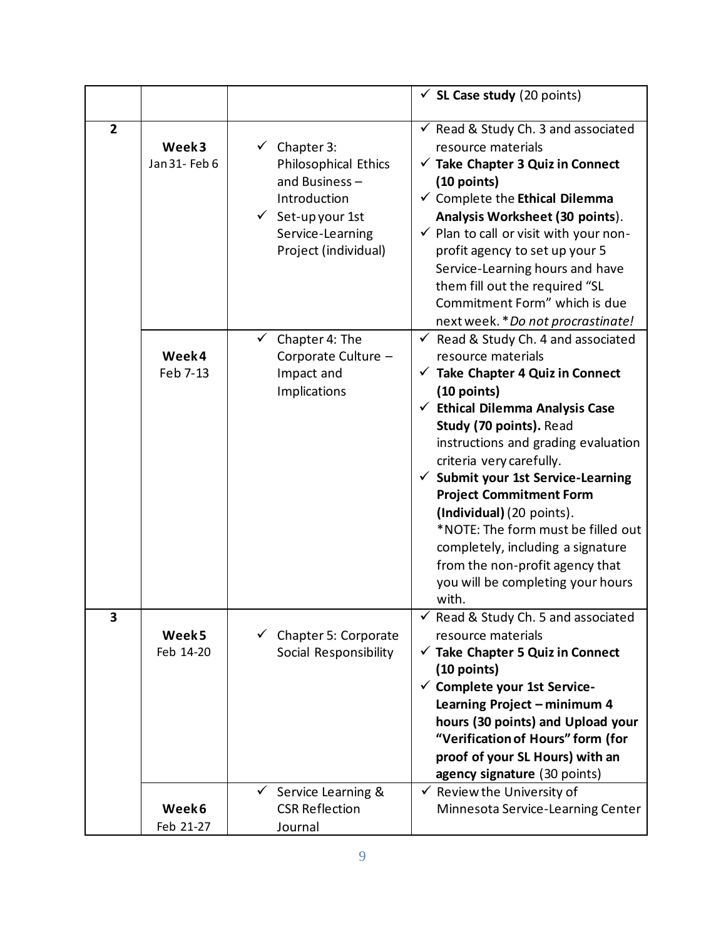|                |                                         |                                                                                                                                                                     | $\checkmark$ SL Case study (20 points)                                                                                                                                                                                                                                                                                                                                                                                                                                                                                                                          |
|----------------|-----------------------------------------|---------------------------------------------------------------------------------------------------------------------------------------------------------------------|-----------------------------------------------------------------------------------------------------------------------------------------------------------------------------------------------------------------------------------------------------------------------------------------------------------------------------------------------------------------------------------------------------------------------------------------------------------------------------------------------------------------------------------------------------------------|
| $\overline{2}$ | Week3<br>Jan 31 - Feb 6                 | $\checkmark$ Chapter 3:<br><b>Philosophical Ethics</b><br>and Business-<br>Introduction<br>$\checkmark$ Set-up your 1st<br>Service-Learning<br>Project (individual) | $\checkmark$ Read & Study Ch. 3 and associated<br>resource materials<br>$\checkmark$ Take Chapter 3 Quiz in Connect<br>(10 points)<br>$\checkmark$ Complete the Ethical Dilemma<br>Analysis Worksheet (30 points).<br>$\checkmark$ Plan to call or visit with your non-<br>profit agency to set up your 5<br>Service-Learning hours and have<br>them fill out the required "SL<br>Commitment Form" which is due<br>next week. * Do not procrastinate!                                                                                                           |
|                | Week4<br>Feb 7-13                       | Chapter 4: The<br>Corporate Culture -<br>Impact and<br>Implications                                                                                                 | $\checkmark$<br>Read & Study Ch. 4 and associated<br>resource materials<br>$\checkmark$ Take Chapter 4 Quiz in Connect<br>$(10$ points)<br>$\checkmark$ Ethical Dilemma Analysis Case<br>Study (70 points). Read<br>instructions and grading evaluation<br>criteria very carefully.<br>$\checkmark$ Submit your 1st Service-Learning<br><b>Project Commitment Form</b><br>(Individual) (20 points).<br>*NOTE: The form must be filled out<br>completely, including a signature<br>from the non-profit agency that<br>you will be completing your hours<br>with. |
| 3              | Week <sub>5</sub><br>Feb 14-20<br>Week6 | $\checkmark$ Chapter 5: Corporate<br>Social Responsibility<br>Service Learning &<br>$\checkmark$<br><b>CSR Reflection</b>                                           | $\checkmark$ Read & Study Ch. 5 and associated<br>resource materials<br>$\checkmark$ Take Chapter 5 Quiz in Connect<br>$(10$ points)<br>$\checkmark$ Complete your 1st Service-<br>Learning Project - minimum 4<br>hours (30 points) and Upload your<br>"Verification of Hours" form (for<br>proof of your SL Hours) with an<br>agency signature (30 points)<br>$\checkmark$ Review the University of<br>Minnesota Service-Learning Center                                                                                                                      |
|                | Feb 21-27                               | Journal                                                                                                                                                             |                                                                                                                                                                                                                                                                                                                                                                                                                                                                                                                                                                 |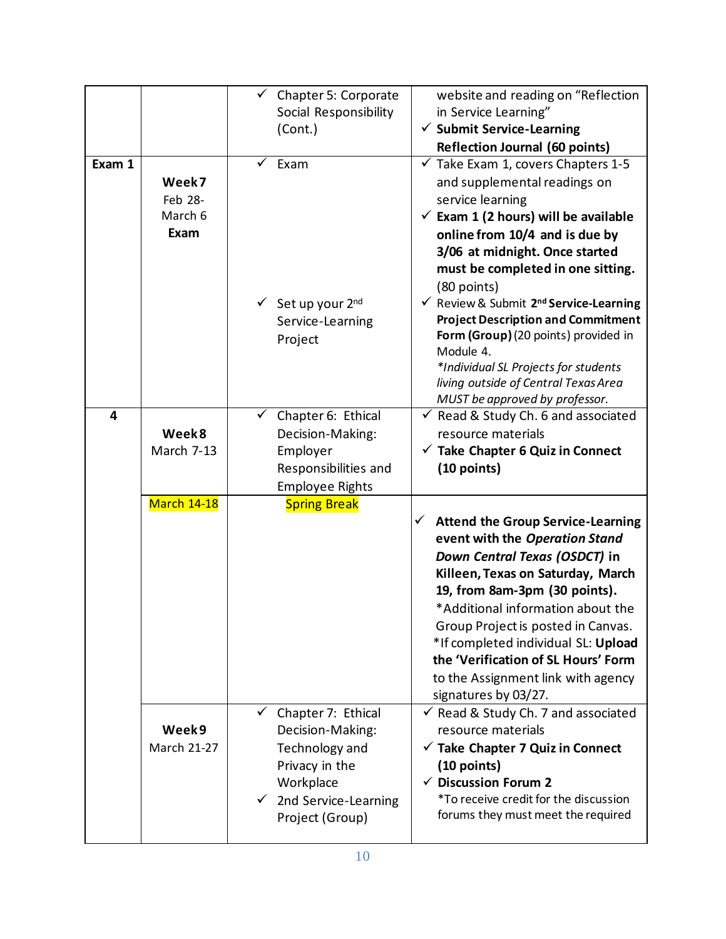|        |                    |              | $\checkmark$ Chapter 5: Corporate        | website and reading on "Reflection                            |
|--------|--------------------|--------------|------------------------------------------|---------------------------------------------------------------|
|        |                    |              |                                          |                                                               |
|        |                    |              | Social Responsibility                    | in Service Learning"                                          |
|        |                    |              | (Cont.)                                  | $\checkmark$ Submit Service-Learning                          |
|        |                    |              |                                          | <b>Reflection Journal (60 points)</b>                         |
| Exam 1 |                    |              | Exam                                     | $\checkmark$ Take Exam 1, covers Chapters 1-5                 |
|        | Week7              |              |                                          | and supplemental readings on                                  |
|        | Feb 28-            |              |                                          | service learning                                              |
|        | March 6            |              |                                          | $\checkmark$ Exam 1 (2 hours) will be available               |
|        | Exam               |              |                                          | online from 10/4 and is due by                                |
|        |                    |              |                                          | 3/06 at midnight. Once started                                |
|        |                    |              |                                          | must be completed in one sitting.                             |
|        |                    |              |                                          | (80 points)                                                   |
|        |                    |              | $\checkmark$ Set up your 2 <sup>nd</sup> | $\checkmark$ Review & Submit 2 <sup>nd</sup> Service-Learning |
|        |                    |              | Service-Learning                         | <b>Project Description and Commitment</b>                     |
|        |                    |              | Project                                  | Form (Group) (20 points) provided in                          |
|        |                    |              |                                          | Module 4.                                                     |
|        |                    |              |                                          | *Individual SL Projects for students                          |
|        |                    |              |                                          | living outside of Central Texas Area                          |
|        |                    |              |                                          | MUST be approved by professor.                                |
| 4      |                    | $\checkmark$ | Chapter 6: Ethical                       | Read & Study Ch. 6 and associated<br>$\checkmark$             |
|        | Week8              |              | Decision-Making:                         | resource materials                                            |
|        | March 7-13         |              | Employer                                 | $\checkmark$ Take Chapter 6 Quiz in Connect                   |
|        |                    |              | Responsibilities and                     | (10 points)                                                   |
|        |                    |              | <b>Employee Rights</b>                   |                                                               |
|        | <b>March 14-18</b> |              | <b>Spring Break</b>                      |                                                               |
|        |                    |              |                                          | <b>Attend the Group Service-Learning</b><br>✓                 |
|        |                    |              |                                          | event with the Operation Stand                                |
|        |                    |              |                                          | Down Central Texas (OSDCT) in                                 |
|        |                    |              |                                          | Killeen, Texas on Saturday, March                             |
|        |                    |              |                                          | 19, from 8am-3pm (30 points).                                 |
|        |                    |              |                                          | *Additional information about the                             |
|        |                    |              |                                          | Group Project is posted in Canvas.                            |
|        |                    |              |                                          | *If completed individual SL: Upload                           |
|        |                    |              |                                          | the 'Verification of SL Hours' Form                           |
|        |                    |              |                                          | to the Assignment link with agency                            |
|        |                    |              |                                          | signatures by 03/27.                                          |
|        |                    |              | Chapter 7: Ethical                       | √ Read & Study Ch. 7 and associated                           |
|        | Week9              |              | Decision-Making:                         | resource materials                                            |
|        | <b>March 21-27</b> |              | Technology and                           | $\checkmark$ Take Chapter 7 Quiz in Connect                   |
|        |                    |              |                                          |                                                               |
|        |                    |              | Privacy in the                           | $(10$ points)                                                 |
|        |                    |              | Workplace                                | <b>Discussion Forum 2</b>                                     |
|        |                    |              | $\checkmark$ 2nd Service-Learning        | *To receive credit for the discussion                         |
|        |                    |              | Project (Group)                          | forums they must meet the required                            |
|        |                    |              |                                          |                                                               |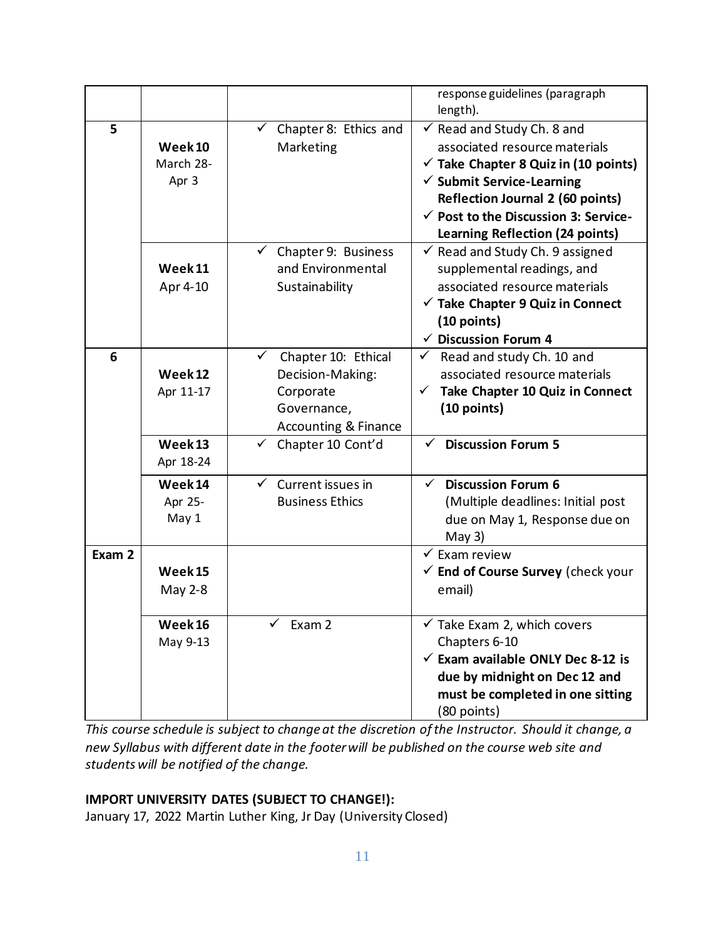|        |                                                         |                                                                                                                                               | response guidelines (paragraph<br>length).                                                                                                                                                                                                                                                         |
|--------|---------------------------------------------------------|-----------------------------------------------------------------------------------------------------------------------------------------------|----------------------------------------------------------------------------------------------------------------------------------------------------------------------------------------------------------------------------------------------------------------------------------------------------|
| 5      | Week <sub>10</sub><br>March 28-<br>Apr 3                | $\checkmark$ Chapter 8: Ethics and<br>Marketing                                                                                               | $\checkmark$ Read and Study Ch. 8 and<br>associated resource materials<br>$\checkmark$ Take Chapter 8 Quiz in (10 points)<br>$\checkmark$ Submit Service-Learning<br><b>Reflection Journal 2 (60 points)</b><br>$\checkmark$ Post to the Discussion 3: Service-<br>Learning Reflection (24 points) |
|        | Week <sub>11</sub><br>Apr 4-10                          | $\checkmark$ Chapter 9: Business<br>and Environmental<br>Sustainability                                                                       | $\checkmark$ Read and Study Ch. 9 assigned<br>supplemental readings, and<br>associated resource materials<br>$\checkmark$ Take Chapter 9 Quiz in Connect<br>$(10$ points)<br>$\checkmark$ Discussion Forum 4                                                                                       |
| 6      | Week 12<br>Apr 11-17<br>Week <sub>13</sub><br>Apr 18-24 | ✓<br>Chapter 10: Ethical<br>Decision-Making:<br>Corporate<br>Governance,<br><b>Accounting &amp; Finance</b><br>$\checkmark$ Chapter 10 Cont'd | $\checkmark$ Read and study Ch. 10 and<br>associated resource materials<br>Take Chapter 10 Quiz in Connect<br>$\checkmark$<br>(10 points)<br><b>Discussion Forum 5</b><br>$\checkmark$                                                                                                             |
|        | Week 14<br>Apr 25-<br>May 1                             | $\checkmark$ Current issues in<br><b>Business Ethics</b>                                                                                      | <b>Discussion Forum 6</b><br>$\checkmark$<br>(Multiple deadlines: Initial post<br>due on May 1, Response due on<br>May $3)$                                                                                                                                                                        |
| Exam 2 | Week <sub>15</sub><br>May 2-8                           |                                                                                                                                               | $\checkmark$ Exam review<br>$\checkmark$ End of Course Survey (check your<br>email)                                                                                                                                                                                                                |
|        | Week 16<br>May 9-13                                     | Exam 2                                                                                                                                        | $\checkmark$ Take Exam 2, which covers<br>Chapters 6-10<br>$\checkmark$ Exam available ONLY Dec 8-12 is<br>due by midnight on Dec 12 and<br>must be completed in one sitting<br>(80 points)                                                                                                        |

*This course schedule is subject to change at the discretion of the Instructor. Should it change, a new Syllabus with different date in the footer will be published on the course web site and students will be notified of the change.*

## **IMPORT UNIVERSITY DATES (SUBJECT TO CHANGE!):**

January 17, 2022 Martin Luther King, Jr Day (University Closed)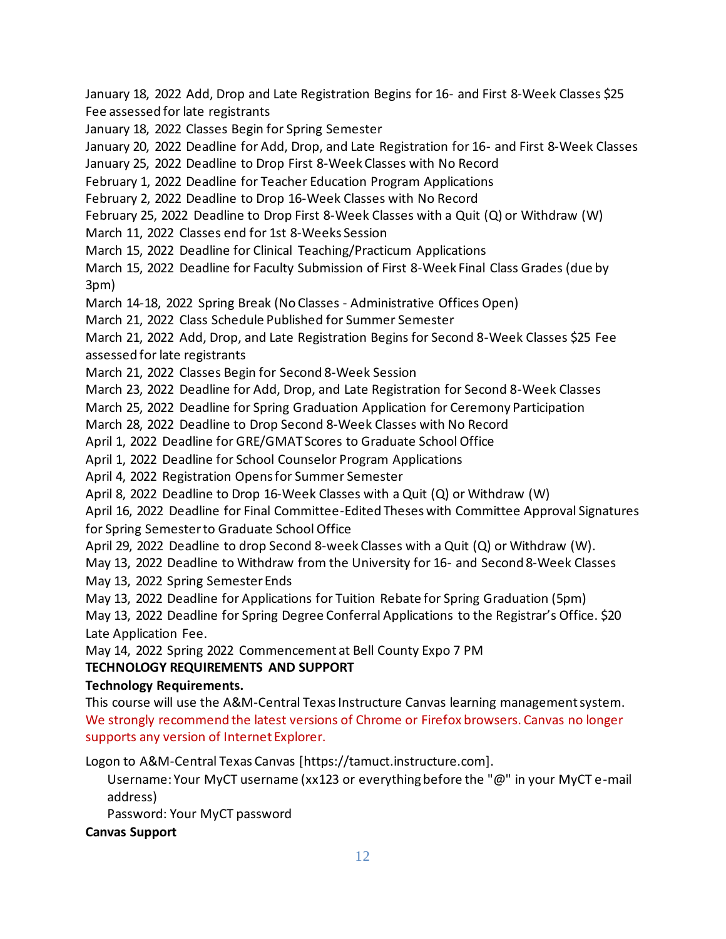January 18, 2022 Add, Drop and Late Registration Begins for 16- and First 8-Week Classes \$25 Fee assessed for late registrants

January 18, 2022 Classes Begin for Spring Semester

January 20, 2022 Deadline for Add, Drop, and Late Registration for 16- and First 8-Week Classes

January 25, 2022 Deadline to Drop First 8-Week Classes with No Record

February 1, 2022 Deadline for Teacher Education Program Applications

February 2, 2022 Deadline to Drop 16-Week Classes with No Record

February 25, 2022 Deadline to Drop First 8-Week Classes with a Quit (Q) or Withdraw (W)

March 11, 2022 Classes end for 1st 8-Weeks Session

March 15, 2022 Deadline for Clinical Teaching/Practicum Applications

March 15, 2022 Deadline for Faculty Submission of First 8-Week Final Class Grades (due by 3pm)

March 14-18, 2022 Spring Break (No Classes - Administrative Offices Open)

March 21, 2022 Class Schedule Published for Summer Semester

March 21, 2022 Add, Drop, and Late Registration Begins for Second 8-Week Classes \$25 Fee assessed for late registrants

March 21, 2022 Classes Begin for Second 8-Week Session

March 23, 2022 Deadline for Add, Drop, and Late Registration for Second 8-Week Classes

March 25, 2022 Deadline for Spring Graduation Application for Ceremony Participation

March 28, 2022 Deadline to Drop Second 8-Week Classes with No Record

April 1, 2022 Deadline for GRE/GMAT Scores to Graduate School Office

April 1, 2022 Deadline for School Counselor Program Applications

April 4, 2022 Registration Opens for Summer Semester

April 8, 2022 Deadline to Drop 16-Week Classes with a Quit (Q) or Withdraw (W)

April 16, 2022 Deadline for Final Committee-Edited Theses with Committee Approval Signatures for Spring Semester to Graduate School Office

April 29, 2022 Deadline to drop Second 8-week Classes with a Quit (Q) or Withdraw (W).

May 13, 2022 Deadline to Withdraw from the University for 16- and Second 8-Week Classes

May 13, 2022 Spring Semester Ends

May 13, 2022 Deadline for Applications for Tuition Rebate for Spring Graduation (5pm)

May 13, 2022 Deadline for Spring Degree Conferral Applications to the Registrar's Office. \$20 Late Application Fee.

May 14, 2022 Spring 2022 Commencement at Bell County Expo 7 PM

## **TECHNOLOGY REQUIREMENTS AND SUPPORT**

## **Technology Requirements.**

This course will use the A&M-Central Texas Instructure Canvas learning management system. We strongly recommend the latest versions of Chrome or Firefox browsers. Canvas no longer supports any version of Internet Explorer.

Logon to A&M-Central Texas Canvas [https://tamuct.instructure.com].

Username: Your MyCT username (xx123 or everything before the "@" in your MyCT e-mail address)

Password: Your MyCT password

## **Canvas Support**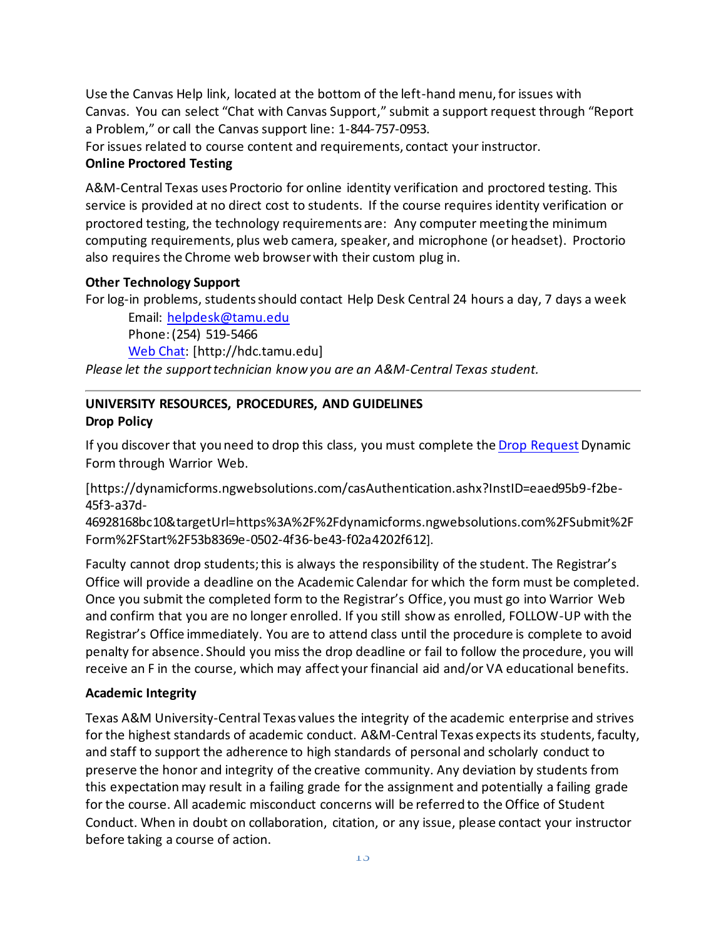Use the Canvas Help link, located at the bottom of the left-hand menu, for issues with Canvas. You can select "Chat with Canvas Support," submit a support request through "Report a Problem," or call the Canvas support line: 1-844-757-0953.

For issues related to course content and requirements, contact your instructor.

## **Online Proctored Testing**

A&M-Central Texas uses Proctorio for online identity verification and proctored testing. This service is provided at no direct cost to students. If the course requires identity verification or proctored testing, the technology requirements are: Any computer meeting the minimum computing requirements, plus web camera, speaker, and microphone (or headset). Proctorio also requires the Chrome web browser with their custom plug in.

## **Other Technology Support**

For log-in problems, students should contact Help Desk Central 24 hours a day, 7 days a week

Email: [helpdesk@tamu.edu](mailto:helpdesk@tamu.edu) Phone: (254) 519-5466 [Web Chat:](http://hdc.tamu.edu/) [http://hdc.tamu.edu]

*Please let the support technician know you are an A&M-Central Texas student.*

# **UNIVERSITY RESOURCES, PROCEDURES, AND GUIDELINES Drop Policy**

If you discover that you need to drop this class, you must complete th[e Drop Request](https://dynamicforms.ngwebsolutions.com/casAuthentication.ashx?InstID=eaed95b9-f2be-45f3-a37d-46928168bc10&targetUrl=https%3A%2F%2Fdynamicforms.ngwebsolutions.com%2FSubmit%2FForm%2FStart%2F53b8369e-0502-4f36-be43-f02a4202f612)Dynamic Form through Warrior Web.

[https://dynamicforms.ngwebsolutions.com/casAuthentication.ashx?InstID=eaed95b9-f2be-45f3-a37d-

46928168bc10&targetUrl=https%3A%2F%2Fdynamicforms.ngwebsolutions.com%2FSubmit%2F Form%2FStart%2F53b8369e-0502-4f36-be43-f02a4202f612].

Faculty cannot drop students; this is always the responsibility of the student. The Registrar's Office will provide a deadline on the Academic Calendar for which the form must be completed. Once you submit the completed form to the Registrar's Office, you must go into Warrior Web and confirm that you are no longer enrolled. If you still show as enrolled, FOLLOW-UP with the Registrar's Office immediately. You are to attend class until the procedure is complete to avoid penalty for absence. Should you miss the drop deadline or fail to follow the procedure, you will receive an F in the course, which may affect your financial aid and/or VA educational benefits.

## **Academic Integrity**

Texas A&M University-Central Texas values the integrity of the academic enterprise and strives for the highest standards of academic conduct. A&M-Central Texas expects its students, faculty, and staff to support the adherence to high standards of personal and scholarly conduct to preserve the honor and integrity of the creative community. Any deviation by students from this expectationmay result in a failing grade for the assignment and potentially a failing grade for the course. All academic misconduct concerns will be referred to the Office of Student Conduct. When in doubt on collaboration, citation, or any issue, please contact your instructor before taking a course of action.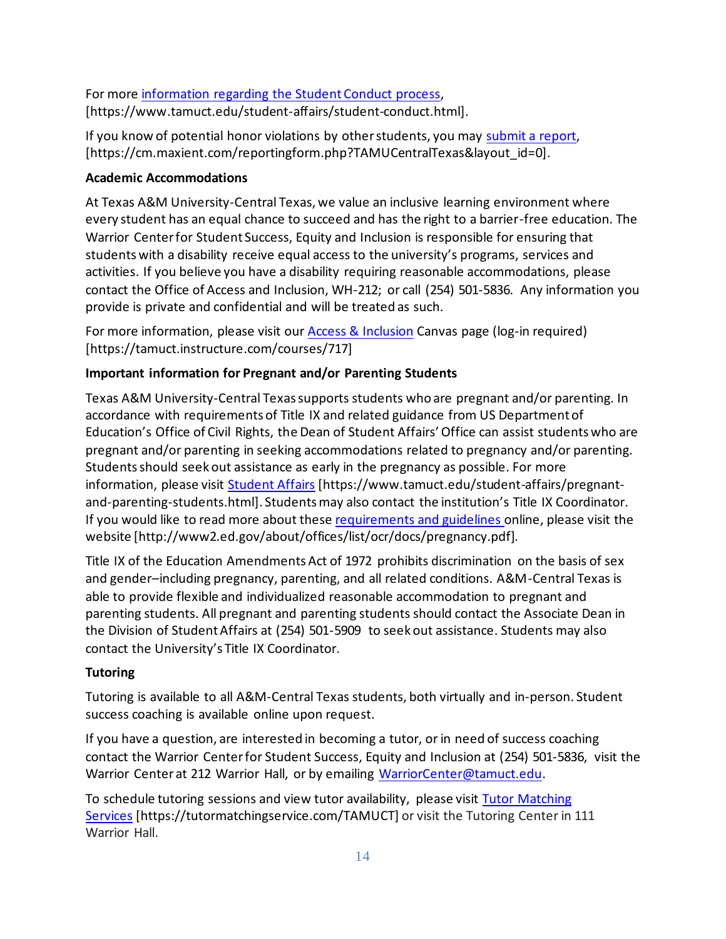For more [information](https://nam04.safelinks.protection.outlook.com/?url=https%3A%2F%2Fwww.tamuct.edu%2Fstudent-affairs%2Fstudent-conduct.html&data=04%7C01%7Clisa.bunkowski%40tamuct.edu%7Ccfb6e486f24745f53e1a08d910055cb2%7C9eed4e3000f744849ff193ad8005acec%7C0%7C0%7C637558437485252160%7CUnknown%7CTWFpbGZsb3d8eyJWIjoiMC4wLjAwMDAiLCJQIjoiV2luMzIiLCJBTiI6Ik1haWwiLCJXVCI6Mn0%3D%7C1000&sdata=yjftDEVHvLX%2FhM%2FcFU0B99krV1RgEWR%2BJ%2BhvtoR6TYk%3D&reserved=0) regarding the Student Conduct process, [https://www.tamuct.edu/student-affairs/student-conduct.html].

If you know of potential honor violations by otherstudents, you may [submit](https://nam04.safelinks.protection.outlook.com/?url=https%3A%2F%2Fcm.maxient.com%2Freportingform.php%3FTAMUCentralTexas%26layout_id%3D0&data=04%7C01%7Clisa.bunkowski%40tamuct.edu%7Ccfb6e486f24745f53e1a08d910055cb2%7C9eed4e3000f744849ff193ad8005acec%7C0%7C0%7C637558437485262157%7CUnknown%7CTWFpbGZsb3d8eyJWIjoiMC4wLjAwMDAiLCJQIjoiV2luMzIiLCJBTiI6Ik1haWwiLCJXVCI6Mn0%3D%7C1000&sdata=CXGkOa6uPDPX1IMZ87z3aZDq2n91xfHKu4MMS43Ejjk%3D&reserved=0) a report, [https://cm.maxient.com/reportingform.php?TAMUCentralTexas&layout\_id=0].

## **Academic Accommodations**

At Texas A&M University-Central Texas, we value an inclusive learning environment where every student has an equal chance to succeed and has the right to a barrier-free education. The Warrior Center for Student Success, Equity and Inclusion is responsible for ensuring that students with a disability receive equal access to the university's programs, services and activities. If you believe you have a disability requiring reasonable accommodations, please contact the Office of Access and Inclusion, WH-212; or call (254) 501-5836. Any information you provide is private and confidential and will be treated as such.

For more information, please visit our [Access & Inclusion](https://tamuct.instructure.com/courses/717) Canvas page (log-in required) [https://tamuct.instructure.com/courses/717]

## **Important information for Pregnant and/or Parenting Students**

Texas A&M University-Central Texas supports students who are pregnant and/or parenting. In accordance with requirements of Title IX and related guidance from US Department of Education's Office of Civil Rights, the Dean of Student Affairs' Office can assist students who are pregnant and/or parenting in seeking accommodations related to pregnancy and/or parenting. Students should seek out assistance as early in the pregnancy as possible. For more information, please visit [Student Affairs](https://www.tamuct.edu/student-affairs/pregnant-and-parenting-students.html) [https://www.tamuct.edu/student-affairs/pregnantand-parenting-students.html]. Students may also contact the institution's Title IX Coordinator. If you would like to read more about thes[e requirements and guidelines](http://www2.ed.gov/about/offices/list/ocr/docs/pregnancy.pdf) online, please visit the website [http://www2.ed.gov/about/offices/list/ocr/docs/pregnancy.pdf].

Title IX of the Education Amendments Act of 1972 prohibits discrimination on the basis of sex and gender–including pregnancy, parenting, and all related conditions. A&M-Central Texas is able to provide flexible and individualized reasonable accommodation to pregnant and parenting students. All pregnant and parenting students should contact the Associate Dean in the Division of Student Affairs at (254) 501-5909 to seek out assistance. Students may also contact the University's Title IX Coordinator.

## **Tutoring**

Tutoring is available to all A&M-Central Texas students, both virtually and in-person. Student success coaching is available online upon request.

If you have a question, are interested in becoming a tutor, or in need of success coaching contact the Warrior Centerfor Student Success, Equity and Inclusion at (254) 501-5836, visit the Warrior Center at 212 Warrior Hall, or by emailing [WarriorCenter@tamuct.edu.](mailto:WarriorCenter@tamuct.edu)

To schedule tutoring sessions and view tutor availability, please visit Tutor [Matching](https://tutormatchingservice.com/TAMUCT) [Services](https://tutormatchingservice.com/TAMUCT) [https://tutormatchingservice.com/TAMUCT] or visit the Tutoring Center in 111 Warrior Hall.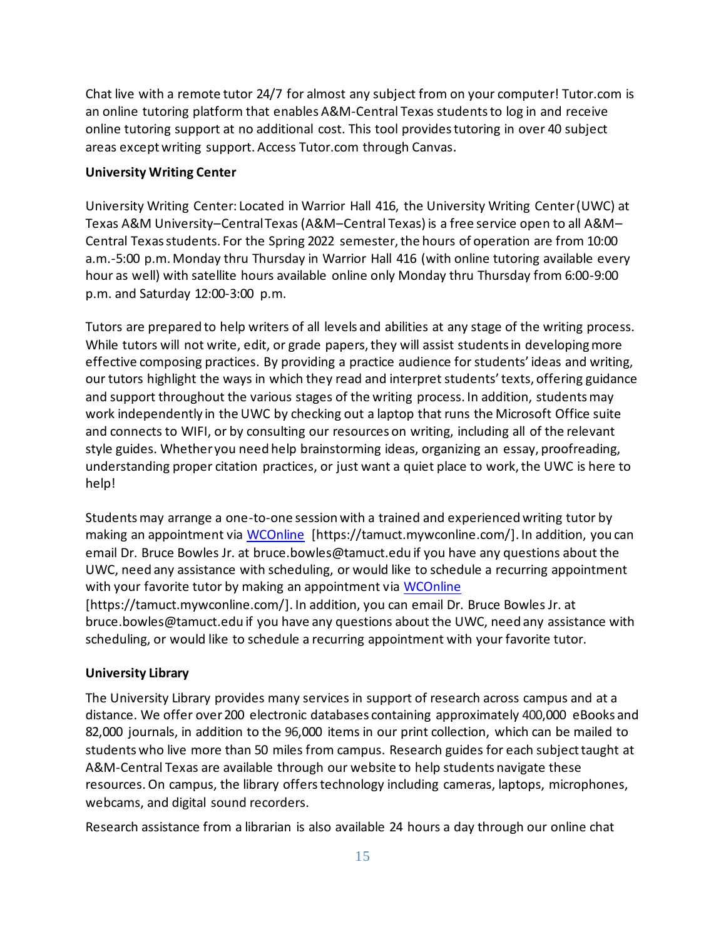Chat live with a remote tutor 24/7 for almost any subject from on your computer! Tutor.com is an online tutoring platform that enables A&M-Central Texas studentsto log in and receive online tutoring support at no additional cost. This tool provides tutoring in over 40 subject areas except writing support. Access Tutor.com through Canvas.

#### **University Writing Center**

University Writing Center: Located in Warrior Hall 416, the University Writing Center (UWC) at Texas A&M University–Central Texas (A&M–Central Texas) is a free service open to all A&M– Central Texas students. For the Spring 2022 semester, the hours of operation are from 10:00 a.m.-5:00 p.m. Monday thru Thursday in Warrior Hall 416 (with online tutoring available every hour as well) with satellite hours available online only Monday thru Thursday from 6:00-9:00 p.m. and Saturday 12:00-3:00 p.m.

Tutors are prepared to help writers of all levels and abilities at any stage of the writing process. While tutors will not write, edit, or grade papers, they will assist students in developing more effective composing practices. By providing a practice audience for students' ideas and writing, our tutors highlight the ways in which they read and interpret students' texts, offering guidance and support throughout the various stages of the writing process. In addition, students may work independently in the UWC by checking out a laptop that runs the Microsoft Office suite and connects to WIFI, or by consulting our resources on writing, including all of the relevant style guides. Whether you need help brainstorming ideas, organizing an essay, proofreading, understanding proper citation practices, or just want a quiet place to work, the UWC is here to help!

Students may arrange a one-to-one session with a trained and experienced writing tutor by making an appointment via [WCOnline](https://tamuct.mywconline.com/) [https://tamuct.mywconline.com/]. In addition, you can email Dr. Bruce Bowles Jr. at bruce.bowles@tamuct.edu if you have any questions about the UWC, need any assistance with scheduling, or would like to schedule a recurring appointment with your favorite tutor by making an appointment via [WCOnline](https://tamuct.mywconline.com/) [https://tamuct.mywconline.com/]. In addition, you can email Dr. Bruce Bowles Jr. at bruce.bowles@tamuct.edu if you have any questions about the UWC, need any assistance with scheduling, or would like to schedule a recurring appointment with your favorite tutor.

#### **University Library**

The University Library provides many services in support of research across campus and at a distance. We offer over200 electronic databases containing approximately 400,000 eBooks and 82,000 journals, in addition to the 96,000 items in our print collection, which can be mailed to students who live more than 50 miles from campus. Research guides for each subject taught at A&M-Central Texas are available through our website to help students navigate these resources.On campus, the library offerstechnology including cameras, laptops, microphones, webcams, and digital sound recorders.

Research assistance from a librarian is also available 24 hours a day through our online chat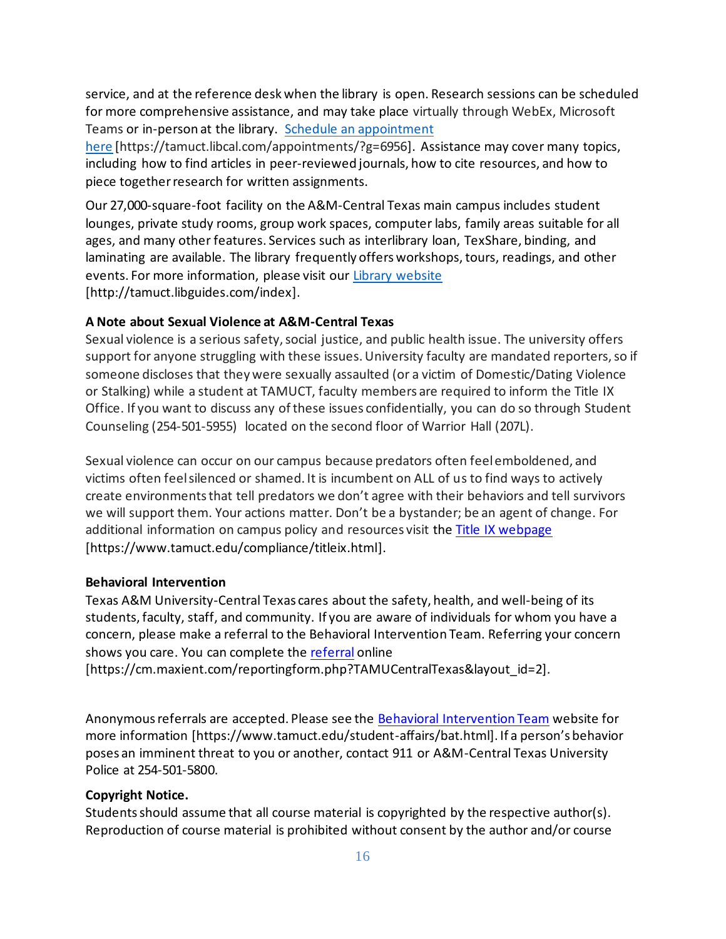service, and at the reference desk when the library is open. Research sessions can be scheduled for more comprehensive assistance, and may take place virtually through WebEx, Microsoft Teams or in-person at the library. Schedule an [appointment](https://nam04.safelinks.protection.outlook.com/?url=https%3A%2F%2Ftamuct.libcal.com%2Fappointments%2F%3Fg%3D6956&data=04%7C01%7Clisa.bunkowski%40tamuct.edu%7Cde2c07d9f5804f09518008d9ab7ba6ff%7C9eed4e3000f744849ff193ad8005acec%7C0%7C0%7C637729369835011558%7CUnknown%7CTWFpbGZsb3d8eyJWIjoiMC4wLjAwMDAiLCJQIjoiV2luMzIiLCJBTiI6Ik1haWwiLCJXVCI6Mn0%3D%7C3000&sdata=KhtjgRSAw9aq%2FoBsB6wyu8b7PSuGN5EGPypzr3Ty2No%3D&reserved=0)

[here](https://nam04.safelinks.protection.outlook.com/?url=https%3A%2F%2Ftamuct.libcal.com%2Fappointments%2F%3Fg%3D6956&data=04%7C01%7Clisa.bunkowski%40tamuct.edu%7Cde2c07d9f5804f09518008d9ab7ba6ff%7C9eed4e3000f744849ff193ad8005acec%7C0%7C0%7C637729369835011558%7CUnknown%7CTWFpbGZsb3d8eyJWIjoiMC4wLjAwMDAiLCJQIjoiV2luMzIiLCJBTiI6Ik1haWwiLCJXVCI6Mn0%3D%7C3000&sdata=KhtjgRSAw9aq%2FoBsB6wyu8b7PSuGN5EGPypzr3Ty2No%3D&reserved=0) [https://tamuct.libcal.com/appointments/?g=6956]. Assistance may cover many topics, including how to find articles in peer-reviewed journals, how to cite resources, and how to piece togetherresearch for written assignments.

Our 27,000-square-foot facility on the A&M-Central Texas main campus includes student lounges, private study rooms, group work spaces, computer labs, family areas suitable for all ages, and many other features. Services such as interlibrary loan, TexShare, binding, and laminating are available. The library frequently offers workshops, tours, readings, and other events. For more information, please visit our Library [website](https://nam04.safelinks.protection.outlook.com/?url=https%3A%2F%2Ftamuct.libguides.com%2Findex&data=04%7C01%7Clisa.bunkowski%40tamuct.edu%7C7d8489e8839a4915335f08d916f067f2%7C9eed4e3000f744849ff193ad8005acec%7C0%7C0%7C637566044056484222%7CUnknown%7CTWFpbGZsb3d8eyJWIjoiMC4wLjAwMDAiLCJQIjoiV2luMzIiLCJBTiI6Ik1haWwiLCJXVCI6Mn0%3D%7C1000&sdata=2R755V6rcIyedGrd4Os5rkgn1PvhHKU3kUV1vBKiHFo%3D&reserved=0) [http://tamuct.libguides.com/index].

#### **A Note about Sexual Violence at A&M-Central Texas**

Sexual violence is a serious safety, social justice, and public health issue. The university offers support for anyone struggling with these issues. University faculty are mandated reporters, so if someone discloses that they were sexually assaulted (or a victim of Domestic/Dating Violence or Stalking) while a student at TAMUCT, faculty members are required to inform the Title IX Office. If you want to discuss any of these issues confidentially, you can do so through Student Counseling (254-501-5955) located on the second floor of Warrior Hall (207L).

Sexual violence can occur on our campus because predators often feel emboldened, and victims often feel silenced or shamed. It is incumbent on ALL of us to find ways to actively create environments that tell predators we don't agree with their behaviors and tell survivors we will support them. Your actions matter. Don't be a bystander; be an agent of change. For additional information on campus policy and resources visit the [Title IX webpage](https://www.tamuct.edu/compliance/titleix.html) [\[https://www.tamuct.edu/compliance/titleix.html\]](https://www.tamuct.edu/compliance/titleix.html).

#### **Behavioral Intervention**

Texas A&M University-Central Texas cares about the safety, health, and well-being of its students, faculty, staff, and community. If you are aware of individuals for whom you have a concern, please make a referral to the Behavioral Intervention Team. Referring your concern shows you care. You can complete the [referral](https://cm.maxient.com/reportingform.php?TAMUCentralTexas&layout_id=2) online

[https://cm.maxient.com/reportingform.php?TAMUCentralTexas&layout\_id=2].

Anonymous referrals are accepted. Please see the [Behavioral Intervention Team](https://www.tamuct.edu/student-affairs/bat.html) website for more information [https://www.tamuct.edu/student-affairs/bat.html]. If a person's behavior poses an imminent threat to you or another, contact 911 or A&M-Central Texas University Police at 254-501-5800.

#### **Copyright Notice.**

Students should assume that all course material is copyrighted by the respective author(s). Reproduction of course material is prohibited without consent by the author and/or course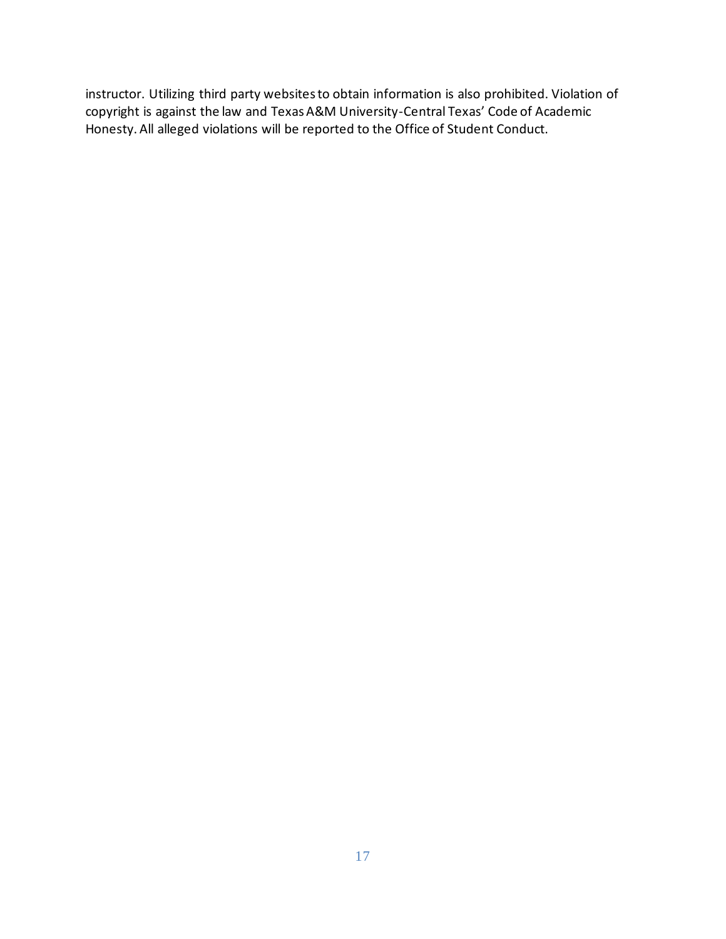instructor. Utilizing third party websites to obtain information is also prohibited. Violation of copyright is against the law and Texas A&M University-Central Texas' Code of Academic Honesty. All alleged violations will be reported to the Office of Student Conduct.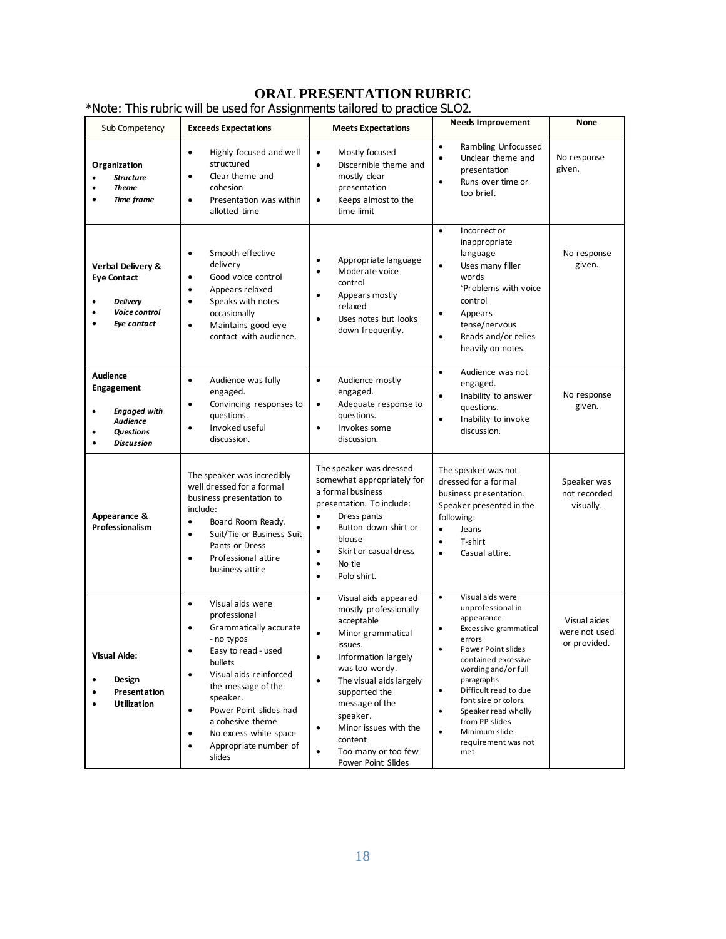## **ORAL PRESENTATION RUBRIC**

| Sub Competency                                                                                                                | <b>Exceeds Expectations</b>                                                                                                                                                                                                                                                                                                                                    | <b>Meets Expectations</b>                                                                                                                                                                                                                                                                                                                                                     | <b>Needs Improvement</b>                                                                                                                                                                                                                                                                                                                                              | None                                          |
|-------------------------------------------------------------------------------------------------------------------------------|----------------------------------------------------------------------------------------------------------------------------------------------------------------------------------------------------------------------------------------------------------------------------------------------------------------------------------------------------------------|-------------------------------------------------------------------------------------------------------------------------------------------------------------------------------------------------------------------------------------------------------------------------------------------------------------------------------------------------------------------------------|-----------------------------------------------------------------------------------------------------------------------------------------------------------------------------------------------------------------------------------------------------------------------------------------------------------------------------------------------------------------------|-----------------------------------------------|
| Organization<br><b>Structure</b><br><b>Theme</b><br><b>Time frame</b>                                                         | Highly focused and well<br>$\bullet$<br>structured<br>Clear theme and<br>$\bullet$<br>cohesion<br>Presentation was within<br>$\bullet$<br>allotted time                                                                                                                                                                                                        | Mostly focused<br>$\bullet$<br>Discernible theme and<br>$\bullet$<br>mostly clear<br>presentation<br>Keeps almost to the<br>$\bullet$<br>time limit                                                                                                                                                                                                                           | Rambling Unfocussed<br>$\bullet$<br>$\bullet$<br>Unclear theme and<br>presentation<br>Runs over time or<br>$\bullet$<br>too brief.                                                                                                                                                                                                                                    | No response<br>given.                         |
| Verbal Delivery &<br><b>Eye Contact</b><br><b>Delivery</b><br>Voice control<br>Eye contact                                    | Smooth effective<br>$\bullet$<br>delivery<br>Good voice control<br>$\bullet$<br>Appears relaxed<br>$\bullet$<br>Speaks with notes<br>$\bullet$<br>occasionally<br>Maintains good eye<br>$\bullet$<br>contact with audience.                                                                                                                                    | Appropriate language<br>$\bullet$<br>Moderate voice<br>$\bullet$<br>control<br>Appears mostly<br>$\bullet$<br>relaxed<br>Uses notes but looks<br>$\bullet$<br>down frequently.                                                                                                                                                                                                | $\bullet$<br>Incorrect or<br>inappropriate<br>language<br>$\bullet$<br>Uses many filler<br>words<br><b>Problems with voice</b><br>control<br>Appears<br>$\bullet$<br>tense/nervous<br>Reads and/or relies<br>$\bullet$<br>heavily on notes.                                                                                                                           | No response<br>given.                         |
| Audience<br><b>Engagement</b><br><b>Engaged with</b><br>$\bullet$<br><b>Audience</b><br><b>Questions</b><br><b>Discussion</b> | Audience was fully<br>$\bullet$<br>engaged.<br>Convincing responses to<br>$\bullet$<br>questions.<br>Invoked useful<br>$\bullet$<br>discussion.                                                                                                                                                                                                                | Audience mostly<br>$\bullet$<br>engaged.<br>Adequate response to<br>$\bullet$<br>questions.<br>Invokes some<br>$\bullet$<br>discussion.                                                                                                                                                                                                                                       | Audience was not<br>$\bullet$<br>engaged.<br>Inability to answer<br>$\bullet$<br>questions.<br>Inability to invoke<br>$\bullet$<br>discussion.                                                                                                                                                                                                                        | No response<br>given.                         |
| Appearance &<br>Professionalism                                                                                               | The speaker was incredibly<br>well dressed for a formal<br>business presentation to<br>include:<br>Board Room Ready.<br>$\bullet$<br>Suit/Tie or Business Suit<br>$\bullet$<br>Pants or Dress<br>Professional attire<br>$\bullet$<br>business attire                                                                                                           | The speaker was dressed<br>somewhat appropriately for<br>a formal business<br>presentation. To include:<br>Dress pants<br>$\bullet$<br>Button down shirt or<br>$\bullet$<br>blouse<br>Skirt or casual dress<br>$\bullet$<br>No tie<br>$\bullet$<br>Polo shirt.<br>$\bullet$                                                                                                   | The speaker was not<br>dressed for a formal<br>business presentation.<br>Speaker presented in the<br>following:<br>$\bullet$<br>Jeans<br>T-shirt<br>$\bullet$<br>Casual attire.<br>$\bullet$                                                                                                                                                                          | Speaker was<br>not recorded<br>visually.      |
| <b>Visual Aide:</b><br>Design<br>Presentation<br><b>Utilization</b>                                                           | Visual aids were<br>$\bullet$<br>professional<br>Grammatically accurate<br>$\bullet$<br>- no typos<br>Easy to read - used<br>bullets<br>Visual aids reinforced<br>$\bullet$<br>the message of the<br>speaker.<br>Power Point slides had<br>$\bullet$<br>a cohesive theme<br>No excess white space<br>$\bullet$<br>Appropriate number of<br>$\bullet$<br>slides | Visual aids appeared<br>$\bullet$<br>mostly professionally<br>acceptable<br>Minor grammatical<br>$\bullet$<br>issues.<br>Information largely<br>$\bullet$<br>was too wordy.<br>The visual aids largely<br>$\bullet$<br>supported the<br>message of the<br>speaker.<br>Minor issues with the<br>$\bullet$<br>content<br>Too many or too few<br>$\bullet$<br>Power Point Slides | Visual aids were<br>$\bullet$<br>unprofessional in<br>appearance<br>Excessive grammatical<br>errors<br>Power Point slides<br>contained excessive<br>wording and/or full<br>paragraphs<br>$\bullet$<br>Difficult read to due<br>font size or colors.<br>Speaker read wholly<br>$\bullet$<br>from PP slides<br>$\bullet$<br>Minimum slide<br>requirement was not<br>met | Visual aides<br>were not used<br>or provided. |

\*Note: This rubric will be used for Assignments tailored to practice SLO2.